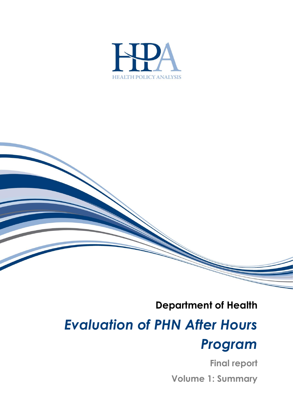

## **Department of Health** *Evaluation of PHN After Hours Program*

**Final report Volume 1: Summary**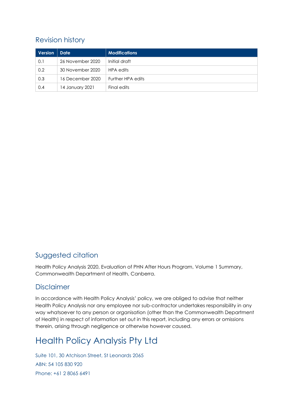### Revision history

| Version | <b>Date</b>      | <b>Modifications</b> |
|---------|------------------|----------------------|
| 0.1     | 26 November 2020 | Initial draft        |
| 0.2     | 30 November 2020 | HPA edits            |
| 0.3     | 16 December 2020 | Further HPA edits    |
| 0.4     | 14 January 2021  | Final edits          |

#### Suggested citation

Health Policy Analysis 2020, Evaluation of PHN After Hours Program, Volume 1 Summary, Commonwealth Department of Health, Canberra.

#### **Disclaimer**

In accordance with Health Policy Analysis' policy, we are obliged to advise that neither Health Policy Analysis nor any employee nor sub-contractor undertakes responsibility in any way whatsoever to any person or organisation (other than the Commonwealth Department of Health) in respect of information set out in this report, including any errors or omissions therein, arising through negligence or otherwise however caused.

### Health Policy Analysis Pty Ltd

Suite 101, 30 Atchison Street, St Leonards 2065 ABN: 54 105 830 920 Phone: +61 2 8065 6491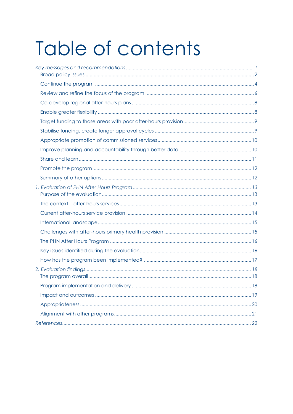# Table of contents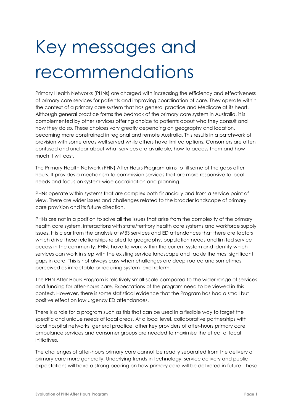## <span id="page-3-0"></span>Key messages and recommendations

Primary Health Networks (PHNs) are charged with increasing the efficiency and effectiveness of primary care services for patients and improving coordination of care. They operate within the context of a primary care system that has general practice and Medicare at its heart. Although general practice forms the bedrock of the primary care system in Australia, it is complemented by other services offering choice to patients about who they consult and how they do so. These choices vary greatly depending on geography and location, becoming more constrained in regional and remote Australia. This results in a patchwork of provision with some areas well served while others have limited options. Consumers are often confused and unclear about what services are available, how to access them and how much it will cost.

The Primary Health Network (PHN) After Hours Program aims to fill some of the gaps after hours. It provides a mechanism to commission services that are more responsive to local needs and focus on system-wide coordination and planning.

PHNs operate within systems that are complex both financially and from a service point of view. There are wider issues and challenges related to the broader landscape of primary care provision and its future direction.

PHNs are not in a position to solve all the issues that arise from the complexity of the primary health care system, interactions with state/territory health care systems and workforce supply issues. It is clear from the analysis of MBS services and ED attendances that there are factors which drive these relationships related to geography, population needs and limited service access in the community. PHNs have to work within the current system and identify which services can work in step with the existing service landscape and tackle the most significant gaps in care. This is not always easy when challenges are deep-rooted and sometimes perceived as intractable or requiring system-level reform.

The PHN After Hours Program is relatively small-scale compared to the wider range of services and funding for after-hours care. Expectations of the program need to be viewed in this context. However, there is some statistical evidence that the Program has had a small but positive effect on low urgency ED attendances.

There is a role for a program such as this that can be used in a flexible way to target the specific and unique needs of local areas. At a local level, collaborative partnerships with local hospital networks, general practice, other key providers of after-hours primary care, ambulance services and consumer groups are needed to maximise the effect of local initiatives.

The challenges of after-hours primary care cannot be readily separated from the delivery of primary care more generally. Underlying trends in technology, service delivery and public expectations will have a strong bearing on how primary care will be delivered in future. These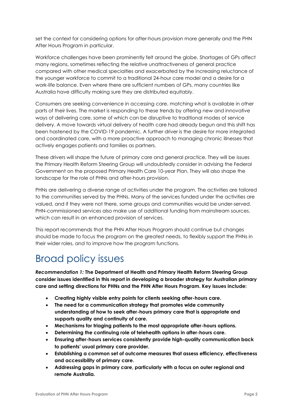set the context for considering options for after-hours provision more generally and the PHN After Hours Program in particular.

Workforce challenges have been prominently felt around the globe. Shortages of GPs affect many regions, sometimes reflecting the relative unattractiveness of general practice compared with other medical specialties and exacerbated by the increasing reluctance of the younger workforce to commit to a traditional 24-hour care model and a desire for a work-life balance. Even where there are sufficient numbers of GPs, many countries like Australia have difficulty making sure they are distributed equitably.

Consumers are seeking convenience in accessing care, matching what is available in other parts of their lives. The market is responding to these trends by offering new and innovative ways of delivering care, some of which can be disruptive to traditional modes of service delivery. A move towards virtual delivery of health care had already begun and this shift has been hastened by the COVID-19 pandemic. A further driver is the desire for more integrated and coordinated care, with a more proactive approach to managing chronic illnesses that actively engages patients and families as partners.

These drivers will shape the future of primary care and general practice. They will be issues the Primary Health Reform Steering Group will undoubtedly consider in advising the Federal Government on the proposed Primary Health Care 10-year Plan. They will also shape the landscape for the role of PHNs and after-hours provision.

PHNs are delivering a diverse range of activities under the program. The activities are tailored to the communities served by the PHNs. Many of the services funded under the activities are valued, and if they were not there, some groups and communities would be under-served. PHN-commissioned services also make use of additional funding from mainstream sources, which can result in an enhanced provision of services.

This report recommends that the PHN After Hours Program should continue but changes should be made to focus the program on the greatest needs, to flexibly support the PHNs in their wider roles, and to improve how the program functions.

### <span id="page-4-0"></span>Broad policy issues

*Recommendation 1:* **The Department of Health and Primary Health Reform Steering Group consider issues identified in this report in developing a broader strategy for Australian primary care and setting directions for PHNs and the PHN After Hours Program. Key issues include:**

- **Creating highly visible entry points for clients seeking after-hours care.**
- **The need for a communication strategy that promotes wide community understanding of how to seek after-hours primary care that is appropriate and supports quality and continuity of care.**
- **Mechanisms for triaging patients to the most appropriate after-hours options.**
- **Determining the continuing role of telehealth options in after-hours care.**
- **Ensuring after-hours services consistently provide high-quality communication back to patients' usual primary care provider.**
- **Establishing a common set of outcome measures that assess efficiency, effectiveness and accessibility of primary care.**
- **Addressing gaps in primary care, particularly with a focus on outer regional and remote Australia.**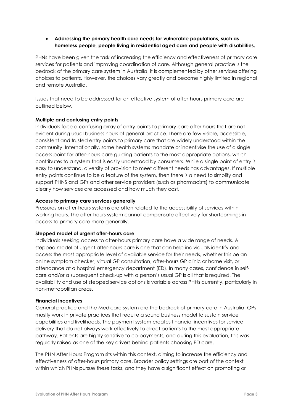• **Addressing the primary health care needs for vulnerable populations, such as homeless people, people living in residential aged care and people with disabilities.**

PHNs have been given the task of increasing the efficiency and effectiveness of primary care services for patients and improving coordination of care. Although general practice is the bedrock of the primary care system in Australia, it is complemented by other services offering choices to patients. However, the choices vary greatly and become highly limited in regional and remote Australia.

Issues that need to be addressed for an effective system of after-hours primary care are outlined below.

#### **Multiple and confusing entry points**

Individuals face a confusing array of entry points to primary care after hours that are not evident during usual business hours of general practice. There are few visible, accessible, consistent and trusted entry points to primary care that are widely understood within the community. Internationally, some health systems mandate or incentivise the use of a single access point for after-hours care guiding patients to the most appropriate options, which contributes to a system that is easily understood by consumers. While a single point of entry is easy to understand, diversity of provision to meet different needs has advantages. If multiple entry points continue to be a feature of the system, then there is a need to simplify and support PHNS and GPs and other service providers (such as pharmacists) to communicate clearly how services are accessed and how much they cost.

#### **Access to primary care services generally**

Pressures on after-hours systems are often related to the accessibility of services within working hours. The after-hours system cannot compensate effectively for shortcomings in access to primary care more generally.

#### **Stepped model of urgent after-hours care**

Individuals seeking access to after-hours primary care have a wide range of needs. A stepped model of urgent after-hours care is one that can help individuals identify and access the most appropriate level of available service for their needs, whether this be an online symptom checker, virtual GP consultation, after-hours GP clinic or home visit, or attendance at a hospital emergency department (ED). In many cases, confidence in selfcare and/or a subsequent check-up with a person's usual GP is all that is required. The availability and use of stepped service options is variable across PHNs currently, particularly in non-metropolitan areas.

#### **Financial incentives**

General practice and the Medicare system are the bedrock of primary care in Australia. GPs mostly work in private practices that require a sound business model to sustain service capabilities and livelihoods. The payment system creates financial incentives for service delivery that do not always work effectively to direct patients to the most appropriate pathway. Patients are highly sensitive to co-payments, and during this evaluation, this was regularly raised as one of the key drivers behind patients choosing ED care.

The PHN After Hours Program sits within this context, aiming to increase the efficiency and effectiveness of after-hours primary care. Broader policy settings are part of the context within which PHNs pursue these tasks, and they have a significant effect on promoting or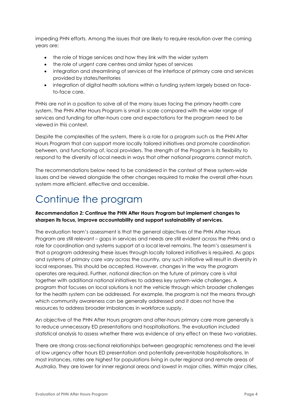impeding PHN efforts. Among the issues that are likely to require resolution over the coming years are:

- the role of triage services and how they link with the wider system
- the role of urgent care centres and similar types of services
- integration and streamlining of services at the interface of primary care and services provided by states/territories
- integration of digital health solutions within a funding system largely based on faceto-face care.

PHNs are not in a position to solve all of the many issues facing the primary health care system. The PHN After Hours Program is small in scale compared with the wider range of services and funding for after-hours care and expectations for the program need to be viewed in this context.

Despite the complexities of the system, there is a role for a program such as the PHN After Hours Program that can support more locally tailored initiatives and promote coordination between, and functioning of, local providers. The strength of the Program is its flexibility to respond to the diversity of local needs in ways that other national programs cannot match.

The recommendations below need to be considered in the context of these system-wide issues and be viewed alongside the other changes required to make the overall after-hours system more efficient, effective and accessible.

### <span id="page-6-0"></span>Continue the program

#### *Recommendation 2:* **Continue the PHN After Hours Program but implement changes to sharpen its focus, improve accountability and support sustainability of services.**

The evaluation team's assessment is that the general objectives of the PHN After Hours Program are still relevant – gaps in services and needs are still evident across the PHNs and a role for coordination and systems support at a local level remains. The team's assessment is that a program addressing these issues through locally tailored initiatives is required. As gaps and systems of primary care vary across the country, any such initiative will result in diversity in local responses. This should be accepted. However, changes in the way the program operates are required. Further, national direction on the future of primary care is vital together with additional national initiatives to address key system-wide challenges. A program that focuses on local solutions is not the vehicle through which broader challenges for the health system can be addressed. For example, the program is not the means through which community awareness can be generally addressed and it does not have the resources to address broader imbalances in workforce supply.

An objective of the PHN After Hours program and after-hours primary care more generally is to reduce unnecessary ED presentations and hospitalisations. The evaluation included statistical analysis to assess whether there was evidence of any effect on these two variables.

There are strong cross-sectional relationships between geographic remoteness and the level of low urgency after hours ED presentation and potentially preventable hospitalisations. In most instances, rates are highest for populations living in outer regional and remote areas of Australia. They are lower for inner regional areas and lowest in major cities. Within major cities,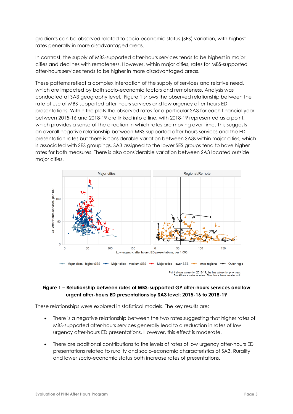gradients can be observed related to socio-economic status (SES) variation, with highest rates generally in more disadvantaged areas.

In contrast, the supply of MBS-supported after-hours services tends to be highest in major cities and declines with remoteness. However, within major cities, rates for MBS-supported after-hours services tends to be higher in more disadvantaged areas.

These patterns reflect a complex interaction of the supply of services and relative need, which are impacted by both socio-economic factors and remoteness. Analysis was conducted at SA3 geography level. [Figure 1](#page-7-0) shows the observed relationship between the rate of use of MBS-supported after-hours services and low urgency after-hours ED presentations. Within the plots the observed rates for a particular SA3 for each financial year between 2015-16 and 2018-19 are linked into a line, with 2018-19 represented as a point, which provides a sense of the direction in which rates are moving over time. This suggests an overall negative relationship between MBS-supported after-hours services and the ED presentation rates but there is considerable variation between SA3s within major cities, which is associated with SES groupings. SA3 assigned to the lower SES groups tend to have higher rates for both measures. There is also considerable variation between SA3 located outside major cities.



#### <span id="page-7-0"></span>**Figure 1 – Relationship between rates of MBS-supported GP after-hours services and low urgent after-hours ED presentations by SA3 level: 2015-16 to 2018-19**

These relationships were explored in statistical models. The key results are:

- There is a negative relationship between the two rates suggesting that higher rates of MBS-supported after-hours services generally lead to a reduction in rates of low urgency after-hours ED presentations. However, this effect is moderate.
- There are additional contributions to the levels of rates of low urgency after-hours ED presentations related to rurality and socio-economic characteristics of SA3. Rurality and lower socio-economic status both increase rates of presentations.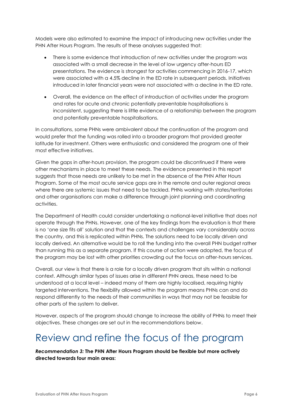Models were also estimated to examine the impact of introducing new activities under the PHN After Hours Program. The results of these analyses suggested that:

- There is some evidence that introduction of new activities under the program was associated with a small decrease in the level of low urgency after-hours ED presentations. The evidence is strongest for activities commencing in 2016-17, which were associated with a 4.5% decline in the ED rate in subsequent periods. Initiatives introduced in later financial years were not associated with a decline in the ED rate.
- Overall, the evidence on the effect of introduction of activities under the program and rates for acute and chronic potentially preventable hospitalisations is inconsistent, suggesting there is little evidence of a relationship between the program and potentially preventable hospitalisations.

In consultations, some PHNs were ambivalent about the continuation of the program and would prefer that the funding was rolled into a broader program that provided greater latitude for investment. Others were enthusiastic and considered the program one of their most effective initiatives.

Given the gaps in after-hours provision, the program could be discontinued if there were other mechanisms in place to meet these needs. The evidence presented in this report suggests that those needs are unlikely to be met in the absence of the PHN After Hours Program. Some of the most acute service gaps are in the remote and outer regional areas where there are systemic issues that need to be tackled. PHNs working with states/territories and other organisations can make a difference through joint planning and coordinating activities.

The Department of Health could consider undertaking a national-level initiative that does not operate through the PHNs. However, one of the key findings from the evaluation is that there is no 'one size fits all' solution and that the contexts and challenges vary considerably across the country, and this is replicated within PHNs. The solutions need to be locally driven and locally derived. An alternative would be to roll the funding into the overall PHN budget rather than running this as a separate program. If this course of action were adopted, the focus of the program may be lost with other priorities crowding out the focus on after-hours services.

Overall, our view is that there is a role for a locally driven program that sits within a national context. Although similar types of issues arise in different PHN areas, these need to be understood at a local level – indeed many of them are highly localised, requiring highly targeted interventions. The flexibility allowed within the program means PHNs can and do respond differently to the needs of their communities in ways that may not be feasible for other parts of the system to deliver.

However, aspects of the program should change to increase the ability of PHNs to meet their objectives. These changes are set out in the recommendations below.

### <span id="page-8-0"></span>Review and refine the focus of the program

*Recommendation 3:* **The PHN After Hours Program should be flexible but more actively directed towards four main areas:**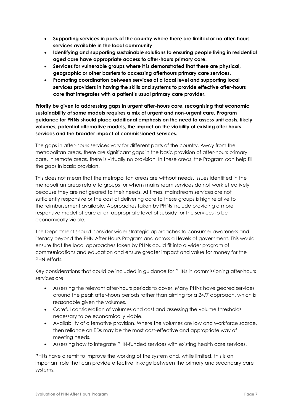- **Supporting services in parts of the country where there are limited or no after-hours services available in the local community.**
- **Identifying and supporting sustainable solutions to ensuring people living in residential aged care have appropriate access to after-hours primary care.**
- **Services for vulnerable groups where it is demonstrated that there are physical, geographic or other barriers to accessing afterhours primary care services.**
- **Promoting coordination between services at a local level and supporting local services providers in having the skills and systems to provide effective after-hours care that integrates with a patient's usual primary care provider.**

**Priority be given to addressing gaps in urgent after-hours care, recognising that economic sustainability of some models requires a mix of urgent and non-urgent care. Program guidance for PHNs should place additional emphasis on the need to assess unit costs, likely volumes, potential alternative models, the impact on the viability of existing after hours services and the broader impact of commissioned services.**

The gaps in after-hours services vary for different parts of the country. Away from the metropolitan areas, there are significant gaps in the basic provision of after-hours primary care. In remote areas, there is virtually no provision. In these areas, the Program can help fill the gaps in basic provision.

This does not mean that the metropolitan areas are without needs. Issues identified in the metropolitan areas relate to groups for whom mainstream services do not work effectively because they are not geared to their needs. At times, mainstream services are not sufficiently responsive or the cost of delivering care to these groups is high relative to the reimbursement available. Approaches taken by PHNs include providing a more responsive model of care or an appropriate level of subsidy for the services to be economically viable.

The Department should consider wider strategic approaches to consumer awareness and literacy beyond the PHN After Hours Program and across all levels of government. This would ensure that the local approaches taken by PHNs could fit into a wider program of communications and education and ensure greater impact and value for money for the PHN efforts.

Key considerations that could be included in guidance for PHNs in commissioning after-hours services are:

- Assessing the relevant after-hours periods to cover. Many PHNs have geared services around the peak after-hours periods rather than aiming for a 24/7 approach, which is reasonable given the volumes.
- Careful consideration of volumes and cost and assessing the volume thresholds necessary to be economically viable.
- Availability of alternative provision. Where the volumes are low and workforce scarce, then reliance on EDs may be the most cost-effective and appropriate way of meeting needs.
- Assessing how to integrate PHN-funded services with existing health care services.

PHNs have a remit to improve the working of the system and, while limited, this is an important role that can provide effective linkage between the primary and secondary care systems.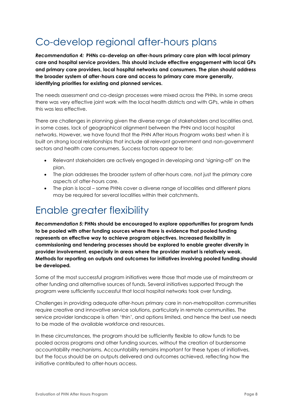## <span id="page-10-0"></span>Co-develop regional after-hours plans

*Recommendation 4:* **PHNs co-develop an after-hours primary care plan with local primary care and hospital service providers. This should include effective engagement with local GPs and primary care providers, local hospital networks and consumers. The plan should address the broader system of after-hours care and access to primary care more generally, identifying priorities for existing and planned services.**

The needs assessment and co-design processes were mixed across the PHNs. In some areas there was very effective joint work with the local health districts and with GPs, while in others this was less effective.

There are challenges in planning given the diverse range of stakeholders and localities and, in some cases, lack of geographical alignment between the PHN and local hospital networks. However, we have found that the PHN After Hours Program works best when it is built on strong local relationships that include all relevant government and non-government sectors and health care consumers. Success factors appear to be:

- Relevant stakeholders are actively engaged in developing and 'signing-off' on the plan.
- The plan addresses the broader system of after-hours care, not just the primary care aspects of after-hours care.
- The plan is local some PHNs cover a diverse range of localities and different plans may be required for several localities within their catchments.

### <span id="page-10-1"></span>Enable greater flexibility

*Recommendation 5:* **PHNs should be encouraged to explore opportunities for program funds to be pooled with other funding sources where there is evidence that pooled funding represents an effective way to achieve program objectives. Increased flexibility in commissioning and tendering processes should be explored to enable greater diversity in provider involvement, especially in areas where the provider market is relatively weak. Methods for reporting on outputs and outcomes for initiatives involving pooled funding should be developed***.* 

Some of the most successful program initiatives were those that made use of mainstream or other funding and alternative sources of funds. Several initiatives supported through the program were sufficiently successful that local hospital networks took over funding.

Challenges in providing adequate after-hours primary care in non-metropolitan communities require creative and innovative service solutions, particularly in remote communities. The service provider landscape is often 'thin', and options limited, and hence the best use needs to be made of the available workforce and resources.

In these circumstances, the program should be sufficiently flexible to allow funds to be pooled across programs and other funding sources, without the creation of burdensome accountability mechanisms. Accountability remains important for these types of initiatives, but the focus should be on outputs delivered and outcomes achieved, reflecting how the initiative contributed to after-hours access.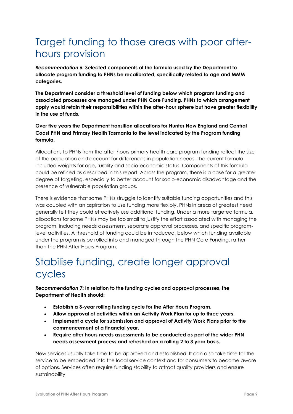### <span id="page-11-0"></span>Target funding to those areas with poor afterhours provision

*Recommendation 6:* **Selected components of the formula used by the Department to allocate program funding to PHNs be recalibrated, specifically related to age and MMM categories.** 

**The Department consider a threshold level of funding below which program funding and associated processes are managed under PHN Core Funding. PHNs to which arrangement apply would retain their responsibilities within the after-hour sphere but have greater flexibility in the use of funds.** 

#### **Over five years the Department transition allocations for Hunter New England and Central Coast PHN and Primary Health Tasmania to the level indicated by the Program funding formula.**

Allocations to PHNs from the after-hours primary health care program funding reflect the size of the population and account for differences in population needs. The current formula included weights for age, rurality and socio-economic status. Components of this formula could be refined as described in this report. Across the program, there is a case for a greater degree of targeting, especially to better account for socio-economic disadvantage and the presence of vulnerable population groups.

There is evidence that some PHNs struggle to identify suitable funding opportunities and this was coupled with an aspiration to use funding more flexibly. PHNs in areas of greatest need generally felt they could effectively use additional funding. Under a more targeted formula, allocations for some PHNs may be too small to justify the effort associated with managing the program, including needs assessment, separate approval processes, and specific programlevel activities. A threshold of funding could be introduced, below which funding available under the program is be rolled into and managed through the PHN Core Funding, rather than the PHN After Hours Program.

### <span id="page-11-1"></span>Stabilise funding, create longer approval cycles

*Recommendation 7***: In relation to the funding cycles and approval processes, the Department of Health should:**

- **Establish a 3-year rolling funding cycle for the After Hours Program**.
- **Allow approval of activities within an Activity Work Plan for up to three years**.
- **Implement a cycle for submission and approval of Activity Work Plans prior to the commencement of a financial year**.
- **Require after hours needs assessments to be conducted as part of the wider PHN needs assessment process and refreshed on a rolling 2 to 3 year basis.**

New services usually take time to be approved and established. It can also take time for the service to be embedded into the local service context and for consumers to become aware of options. Services often require funding stability to attract quality providers and ensure sustainability.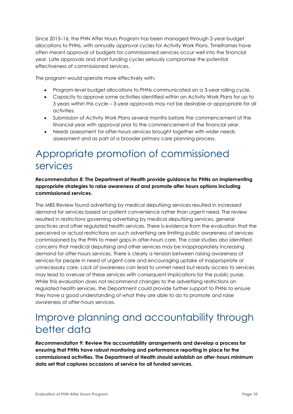Since 2015–16, the PHN After Hours Program has been managed through 2-year budget allocations to PHNs, with annually approval cycles for Activity Work Plans. Timeframes have often meant approval of budgets for commissioned services occur well into the financial year. Late approvals and short funding cycles seriously compromise the potential effectiveness of commissioned services.

The program would operate more effectively with:

- Program-level budget allocations to PHNs communicated on a 3-year rolling cycle.
- Capacity to approve some activities identified within an Activity Work Plans for up to 3 years within this cycle – 3-year approvals may not be desirable or appropriate for all activities.
- Submission of Activity Work Plans several months before the commencement of the financial year with approval prior to the commencement of the financial year.
- Needs assessment for after-hours services brought together with wider needs assessment and as part of a broader primary care planning process.

### <span id="page-12-0"></span>Appropriate promotion of commissioned services

#### *Recommendation 8:* **The Department of Health provide guidance for PHNs on implementing appropriate strategies to raise awareness of and promote after hours options including commissioned services***.*

The [MBS Review](https://www1.health.gov.au/internet/main/publishing.nsf/Content/mbsr-report-primary-care-services) found advertising by medical deputising services resulted in increased demand for services based on patient convenience rather than urgent need. The review resulted in restrictions governing advertising by medical deputising services, general practices and other regulated health services. There is evidence from the evaluation that the perceived or actual restrictions on such advertising are limiting public awareness of services commissioned by the PHN to meet gaps in after-hours care. The case studies also identified concerns that medical deputising and other services may be inappropriately increasing demand for after-hours services. There is clearly a tension between raising awareness of services for people in need of urgent care and encouraging uptake of inappropriate or unnecessary care. Lack of awareness can lead to unmet need but ready access to services may lead to overuse of these services with consequent implications for the public purse. While this evaluation does not recommend changes to the advertising restrictions on regulated health services, the Department could provide further support to PHNs to ensure they have a good understanding of what they are able to do to promote and raise awareness of after-hours services.

### <span id="page-12-1"></span>Improve planning and accountability through better data

*Recommendation 9***: Review the accountability arrangements and develop a process for ensuring that PHNs have robust monitoring and performance reporting in place for the commissioned activities. The Department of Health should establish an after-hours minimum data set that captures occasions of service for all funded services.**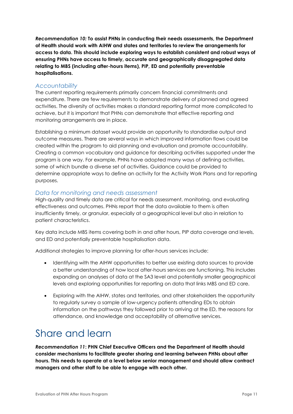*Recommendation 10:* **To assist PHNs in conducting their needs assessments, the Department of Health should work with AIHW and states and territories to review the arrangements for access to data. This should include exploring ways to establish consistent and robust ways of ensuring PHNs have access to timely, accurate and geographically disaggregated data relating to MBS (including after-hours items), PIP, ED and potentially preventable hospitalisations.**

#### *Accountability*

The current reporting requirements primarily concern financial commitments and expenditure. There are few requirements to demonstrate delivery of planned and agreed activities. The diversity of activities makes a standard reporting format more complicated to achieve, but it is important that PHNs can demonstrate that effective reporting and monitoring arrangements are in place.

Establishing a minimum dataset would provide an opportunity to standardise output and outcome measures. There are several ways in which improved information flows could be created within the program to aid planning and evaluation and promote accountability. Creating a common vocabulary and guidance for describing activities supported under the program is one way. For example, PHNs have adopted many ways of defining activities, some of which bundle a diverse set of activities. Guidance could be provided to determine appropriate ways to define an activity for the Activity Work Plans and for reporting purposes.

#### *Data for monitoring and needs assessment*

High-quality and timely data are critical for needs assessment, monitoring, and evaluating effectiveness and outcomes. PHNs report that the data available to them is often insufficiently timely, or granular, especially at a geographical level but also in relation to patient characteristics.

Key data include MBS items covering both in and after hours, PIP data coverage and levels, and ED and potentially preventable hospitalisation data.

Additional strategies to improve planning for after-hours services include:

- Identifying with the AIHW opportunities to better use existing data sources to provide a better understanding of how local after-hours services are functioning. This includes expanding on analyses of data at the SA3 level and potentially smaller geographical levels and exploring opportunities for reporting on data that links MBS and ED care.
- Exploring with the AIHW, states and territories, and other stakeholders the opportunity to regularly survey a sample of low-urgency patients attending EDs to obtain information on the pathways they followed prior to arriving at the ED, the reasons for attendance, and knowledge and acceptability of alternative services.

### <span id="page-13-0"></span>Share and learn

*Recommendation 11***: PHN Chief Executive Officers and the Department of Health should consider mechanisms to facilitate greater sharing and learning between PHNs about after hours. This needs to operate at a level below senior management and should allow contract managers and other staff to be able to engage with each other.**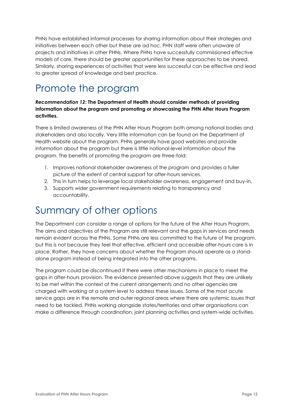PHNs have established informal processes for sharing information about their strategies and initiatives between each other but these are ad hoc. PHN staff were often unaware of projects and initiatives in other PHNs. Where PHNs have successfully commissioned effective models of care, there should be greater opportunities for these approaches to be shared. Similarly, sharing experiences of activities that were less successful can be effective and lead to greater spread of knowledge and best practice.

### <span id="page-14-0"></span>Promote the program

#### *Recommendation 12***: The Department of Health should consider methods of providing information about the program and promoting or showcasing the PHN After Hours Program activities.**

There is limited awareness of the PHN After Hours Program both among national bodies and stakeholders and also locally. Very little information can be found on the Department of Health website about the program. PHNs generally have good websites and provide information about the program but there is little national-level information about the program. The benefits of promoting the program are three-fold:

- 1. Improves national stakeholder awareness of the program and provides a fuller picture of the extent of central support for after-hours services.
- 2. This in turn helps to leverage local stakeholder awareness, engagement and buy-in.
- 3. Supports wider government requirements relating to transparency and accountability.

### <span id="page-14-1"></span>Summary of other options

The Department can consider a range of options for the future of the After Hours Program. The aims and objectives of the Program are still relevant and the gaps in services and needs remain evident across the PHNs. Some PHNs are less committed to the future of the program, but this is not because they feel that effective, efficient and accessible after-hours care is in place. Rather, they have concerns about whether the Program should operate as a standalone program instead of being integrated into the other programs.

The program could be discontinued if there were other mechanisms in place to meet the gaps in after-hours provision. The evidence presented above suggests that they are unlikely to be met within the context of the current arrangements and no other agencies are charged with working at a system level to address these issues. Some of the most acute service gaps are in the remote and outer regional areas where there are systemic issues that need to be tackled. PHNs working alongside states/territories and other organisations can make a difference through coordination, joint planning activities and system-wide activities.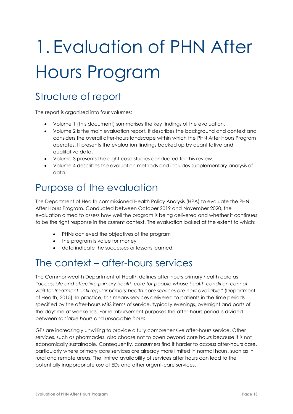## <span id="page-15-0"></span>1. Evaluation of PHN After Hours Program

### Structure of report

The report is organised into four volumes:

- Volume 1 (this document) summarises the key findings of the evaluation.
- Volume 2 is the main evaluation report. It describes the background and context and considers the overall after-hours landscape within which the PHN After Hours Program operates. It presents the evaluation findings backed up by quantitative and qualitative data.
- Volume 3 presents the eight case studies conducted for this review.
- Volume 4 describes the evaluation methods and includes supplementary analysis of data.

### <span id="page-15-1"></span>Purpose of the evaluation

The Department of Health commissioned Health Policy Analysis (HPA) to evaluate the PHN After Hours Program. Conducted between October 2019 and November 2020, the evaluation aimed to assess how well the program is being delivered and whether it continues to be the right response in the current context. The evaluation looked at the extent to which:

- PHNs achieved the objectives of the program
- the program is value for money
- data indicate the successes or lessons learned.

### <span id="page-15-2"></span>The context – after-hours services

The Commonwealth Department of Health defines after-hours primary health care as "*accessible and effective primary health care for people whose health condition cannot wait for treatment until regular primary health care services are next available*" (Department of Health, 2015). In practice, this means services delivered to patients in the time periods specified by the after-hours MBS items of service, typically evenings, overnight and parts of the daytime at weekends. For reimbursement purposes the after-hours period is divided between *sociable hours* and *unsociable hours*.

GPs are increasingly unwilling to provide a fully comprehensive after-hours service. Other services, such as pharmacies, also choose not to open beyond core hours because it is not economically sustainable. Consequently, consumers find it harder to access after-hours care, particularly where primary care services are already more limited in normal hours, such as in rural and remote areas. The limited availability of services after hours can lead to the potentially inappropriate use of EDs and other urgent-care services.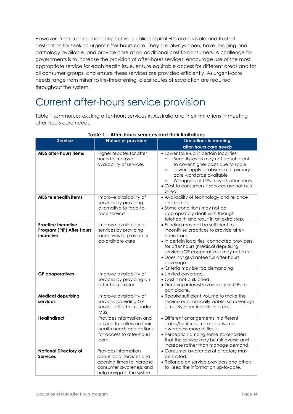However, from a consumer perspective, public hospital EDs are a visible and trusted destination for seeking urgent after-hours care. They are always open, have imaging and pathology available, and provide care at no additional cost to consumers. A challenge for governments is to increase the provision of after-hours services, encourage use of the most appropriate service for each health issue, ensure equitable access for different areas and for all consumer groups, and ensure these services are provided efficiently. As urgent-care needs range from minor to life-threatening, clear routes of escalation are required throughout the system.

### <span id="page-16-0"></span>Current after-hours service provision

[Table 1](#page-16-1) summarises existing after-hours services in Australia and their limitations in meeting after-hours care needs.

<span id="page-16-1"></span>

| <b>Service</b>                                                       | <b>Nature of provision</b>                                                                                                          | <b>Limitations in meeting</b>                                                                                                                                                                                                                                                                                                 |
|----------------------------------------------------------------------|-------------------------------------------------------------------------------------------------------------------------------------|-------------------------------------------------------------------------------------------------------------------------------------------------------------------------------------------------------------------------------------------------------------------------------------------------------------------------------|
|                                                                      |                                                                                                                                     | after-hours care needs                                                                                                                                                                                                                                                                                                        |
| <b>MBS after-hours items</b>                                         | Higher rebates for after<br>hours to improve<br>availability of services                                                            | • Lower take-up in certain localities:<br>Benefits levels may not be sufficient<br>$\circ$<br>to cover higher costs due to scale<br>Lower supply or absence of primary<br>$\circ$<br>care workforce available<br>Willingness of GPs to work after hours<br>$\circ$<br>• Cost to consumers if services are not bulk<br>billed. |
| <b>MBS telehealth items</b>                                          | Improve availability of<br>services by providing<br>alternative to face-to-<br>face service                                         | • Availability of technology and reliance<br>on internet.<br>• Some conditions may not be<br>appropriately dealt with through<br>telehealth and result in an extra step.                                                                                                                                                      |
| <b>Practice Incentive</b><br>Program (PIP) After Hours<br>Incentive. | Improve availability of<br>services by providing<br>incentives to provide or<br>co-ordinate care                                    | • Funding may not be sufficient to<br>incentivise practices to provide after-<br>hours care.<br>· In certain localities, contracted providers<br>for after hours (medical deputising<br>services/GP cooperatives) may not exist<br>· Does not guarantee full after-hours<br>coverage.<br>• Criteria may be too demanding.     |
| <b>GP</b> cooperatives                                               | Improve availability of<br>services by providing an<br>after-hours roster                                                           | • Limited coverage.<br>• Cost if not bulk billed.<br>• Declining interest/availability of GPs to<br>participate.                                                                                                                                                                                                              |
| <b>Medical deputising</b><br>services                                | Improve availability of<br>services providing GP<br>service after hours under<br><b>MBS</b>                                         | • Require sufficient volume to make the<br>service economically viable, so coverage<br>is mainly in metropolitan areas.                                                                                                                                                                                                       |
| <b>Healthdirect</b>                                                  | Provides information and<br>advice to callers on their<br>health needs and options<br>for access to after-hours<br>care.            | • Different arrangements in different<br>states/territories makes consumer<br>awareness more difficult.<br>• Perception among some stakeholders<br>that the service may be risk averse and<br>increase rather than manage demand.                                                                                             |
| <b>National Directory of</b><br><b>Services</b>                      | Provides information<br>about local services and<br>opening times to increase<br>consumer awareness and<br>help navigate the system | • Consumer awareness of directory may<br>be limited.<br>• Reliance on service providers and others<br>to keep the information up-to-date.                                                                                                                                                                                     |

#### **Table 1 – After-hours services and their limitations**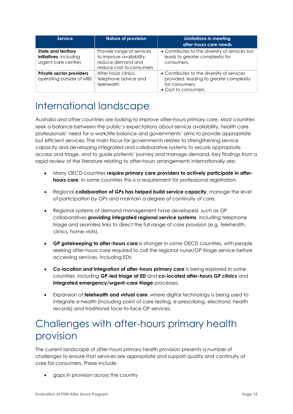| <b>Service</b>                                                       | <b>Nature of provision</b>                                                                             | Limitations in meeting<br>after-hours care needs                                                                                |
|----------------------------------------------------------------------|--------------------------------------------------------------------------------------------------------|---------------------------------------------------------------------------------------------------------------------------------|
| State and territory<br>initiatives, including<br>urgent-care centres | Provide range of services<br>to improve availability,<br>reduce demand and<br>reduce cost to consumers | • Contributes to the diversity of services but<br>leads to greater complexity for<br>consumers.                                 |
| Private sector providers<br>operating outside of MBS                 | After hours clinics,<br>telephone advice and<br>telehealth                                             | • Contributes to the diversity of services<br>provided, leading to greater complexity<br>for consumers.<br>• Cost to consumers. |

### <span id="page-17-0"></span>International landscape

Australia and other countries are looking to improve after-hours primary care. Most countries seek a balance between the public's expectations about service availability, health care professionals' need for a work/life balance and governments' aims to provide appropriate but efficient services. The main focus for governments relates to strengthening service capacity and developing integrated and collaborative systems to secure appropriate access and triage, and to guide patients' journey and manage demand. Key findings from a rapid review of the literature relating to after-hours arrangements internationally are:

- Many OECD countries **require primary care providers to actively participate in afterhours care**. In some countries this is a requirement for professional registration.
- Regional **collaboration of GPs has helped build service capacity**, manage the level of participation by GPs and maintain a degree of continuity of care.
- Regional systems of demand management have developed, such as GP collaboratives **providing integrated regional service systems**, including telephone triage and seamless links to direct the full range of care provision (e.g. telehealth, clinics, home visits).
- **GP gatekeeping to after-hours care** is stronger in some OECD countries, with people seeking after-hours care required to call the regional nurse/GP triage service before accessing services, including EDs.
- **Co-location and integration of after-hours primary care** is being explored in some countries, including **GP-led triage at ED** and **co-located after-hours GP clinics** and **integrated emergency/urgent-care triage** processes.
- Expansion of **telehealth and virtual care**, where digital technology is being used to integrate e-health (including point of care testing, e-prescribing, electronic health records) and traditional face-to-face GP services.

### <span id="page-17-1"></span>Challenges with after-hours primary health provision

The current landscape of after-hours primary health provision presents a number of challenges to ensure that services are appropriate and support quality and continuity of care for consumers. These include:

• gaps in provision across the country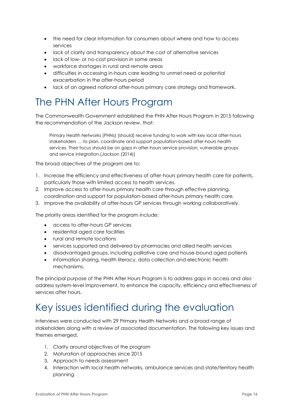- the need for clear information for consumers about where and how to access services
- lack of clarity and transparency about the cost of alternative services
- lack of low- or no-cost provision in some areas
- workforce shortages in rural and remote areas
- difficulties in accessing in-hours care leading to unmet need or potential exacerbation in the after-hours period
- lack of an agreed national after-hours primary care strategy and framework.

### <span id="page-18-0"></span>The PHN After Hours Program

The Commonwealth Government established the PHN After Hours Program in 2015 following the recommendation of the Jackson review, that:

Primary Health Networks (PHNs) [should] receive funding to work with key local after-hours stakeholders … to plan, coordinate and support population-based after-hours health services. Their focus should be on gaps in after-hours service provision, vulnerable groups and service integration.(Jackson (2014))

The broad objectives of the program are to:

- 1. Increase the efficiency and effectiveness of after-hours primary health care for patients, particularly those with limited access to health services.
- 2. Improve access to after-hours primary health care through effective planning, coordination and support for population-based after-hours primary health care.
- 3. Improve the availability of after-hours GP services through working collaboratively.

The priority areas identified for the program include:

- access to after-hours GP services
- residential aged care facilities
- rural and remote locations
- services supported and delivered by pharmacies and allied health services
- disadvantaged groups, including palliative care and house-bound aged patients
- information sharing, health literacy, data collection and electronic health mechanisms.

The principal purpose of the PHN After Hours Program is to address gaps in access and also address system-level improvement, to enhance the capacity, efficiency and effectiveness of services after hours.

### <span id="page-18-1"></span>Key issues identified during the evaluation

Interviews were conducted with 29 Primary Health Networks and a broad range of stakeholders along with a review of associated documentation. The following key issues and themes emerged.

- 1. Clarity around objectives of the program
- 2. Maturation of approaches since 2015
- 3. Approach to needs assessment
- 4. Interaction with local health networks, ambulance services and state/territory health planning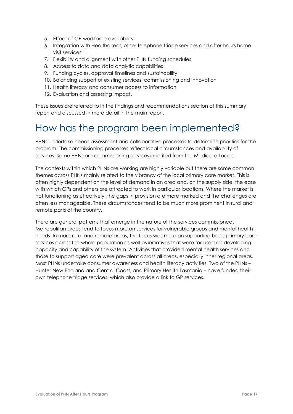- 5. Effect of GP workforce availability
- 6. Integration with Healthdirect, other telephone triage services and after-hours home visit services
- 7. Flexibility and alignment with other PHN funding schedules
- 8. Access to data and data analytic capabilities
- 9. Funding cycles, approval timelines and sustainability
- 10. Balancing support of existing services, commissioning and innovation
- 11. Health literacy and consumer access to information
- 12. Evaluation and assessing impact.

These issues are referred to in the findings and recommendations section of this summary report and discussed in more detail in the main report.

### <span id="page-19-0"></span>How has the program been implemented?

PHNs undertake needs assessment and collaborative processes to determine priorities for the program. The commissioning processes reflect local circumstances and availability of services. Some PHNs are commissioning services inherited from the Medicare Locals.

The contexts within which PHNs are working are highly variable but there are some common themes across PHNs mainly related to the vibrancy of the local primary care market. This is often highly dependent on the level of demand in an area and, on the supply side, the ease with which GPs and others are attracted to work in particular locations. Where the market is not functioning as effectively, the gaps in provision are more marked and the challenges are often less manageable. These circumstances tend to be much more prominent in rural and remote parts of the country.

There are general patterns that emerge in the nature of the services commissioned. Metropolitan areas tend to focus more on services for vulnerable groups and mental health needs. In more rural and remote areas, the focus was more on supporting basic primary care services across the whole population as well as initiatives that were focused on developing capacity and capability of the system. Activities that provided mental health services and those to support aged care were prevalent across all areas, especially inner regional areas. Most PHNs undertake consumer awareness and health literacy activities. Two of the PHNs – Hunter New England and Central Coast, and Primary Health Tasmania – have funded their own telephone triage services, which also provide a link to GP services.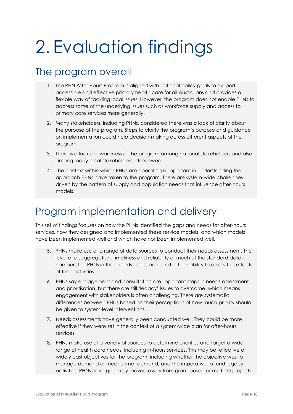## <span id="page-20-0"></span>2. Evaluation findings

### <span id="page-20-1"></span>The program overall

- 1. The PHN After Hours Program is aligned with national policy goals to support accessible and effective primary health care for all Australians and provides a flexible way of tackling local issues. However, the program does not enable PHNs to address some of the underlying issues such as workforce supply and access to primary care services more generally.
- 2. Many stakeholders, including PHNs, considered there was a lack of clarity about the purpose of the program. Steps to clarify the program's purpose and guidance on implementation could help decision-making across different aspects of the program.
- 3. There is a lack of awareness of the program among national stakeholders and also among many local stakeholders interviewed.
- 4. The context within which PHNs are operating is important in understanding the approach PHNs have taken to the program. There are system-wide challenges driven by the pattern of supply and population needs that influence after-hours models.

### <span id="page-20-2"></span>Program implementation and delivery

This set of findings focuses on how the PHNs identified the gaps and needs for after-hours services, how they designed and implemented these service models, and which models have been implemented well and which have not been implemented well.

- 5. PHNs make use of a range of data sources to conduct their needs assessment. The level of disaggregation, timeliness and reliability of much of the standard data hampers the PHNs in their needs assessment and in their ability to assess the effects of their activities.
- 6. PHNs say engagement and consultation are important steps in needs assessment and prioritisation, but there are still 'legacy' issues to overcome, which means engagement with stakeholders is often challenging. There are systematic differences between PHNs based on their perceptions of how much priority should be given to system-level interventions.
- 7. Needs assessments have generally been conducted well. They could be more effective if they were set in the context of a system-wide plan for after-hours services.
- 8. PHNs make use of a variety of sources to determine priorities and target a wide range of health care needs, including in-hours services. This may be reflective of widely cast objectives for the program, including whether the objective was to manage demand or meet unmet demand, and the imperative to fund legacy activities. PHNs have generally moved away from grant-based or multiple projects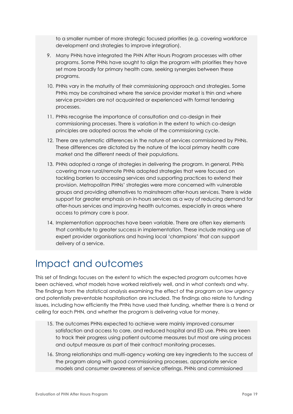to a smaller number of more strategic focused priorities (e.g. covering workforce development and strategies to improve integration).

- 9. Many PHNs have integrated the PHN After Hours Program processes with other programs. Some PHNs have sought to align the program with priorities they have set more broadly for primary health care, seeking synergies between these programs.
- 10. PHNs vary in the maturity of their commissioning approach and strategies. Some PHNs may be constrained where the service provider market is thin and where service providers are not acquainted or experienced with formal tendering processes.
- 11. PHNs recognise the importance of consultation and co-design in their commissioning processes. There is variation in the extent to which co-design principles are adopted across the whole of the commissioning cycle.
- 12. There are systematic differences in the nature of services commissioned by PHNs. These differences are dictated by the nature of the local primary health care market and the different needs of their populations.
- 13. PHNs adopted a range of strategies in delivering the program. In general, PHNs covering more rural/remote PHNs adopted strategies that were focused on tackling barriers to accessing services and supporting practices to extend their provision. Metropolitan PHNs' strategies were more concerned with vulnerable groups and providing alternatives to mainstream after-hours services. There is wide support for greater emphasis on in-hours services as a way of reducing demand for after-hours services and improving health outcomes, especially in areas where access to primary care is poor.
- 14. Implementation approaches have been variable. There are often key elements that contribute to greater success in implementation. These include making use of expert provider organisations and having local 'champions' that can support delivery of a service.

### <span id="page-21-0"></span>Impact and outcomes

This set of findings focuses on the extent to which the expected program outcomes have been achieved, what models have worked relatively well, and in what contexts and why. The findings from the statistical analysis examining the effect of the program on low urgency and potentially preventable hospitalisation are included. The findings also relate to funding issues, including how efficiently the PHNs have used their funding, whether there is a trend or ceiling for each PHN, and whether the program is delivering value for money.

- 15. The outcomes PHNs expected to achieve were mainly improved consumer satisfaction and access to care, and reduced hospital and ED use. PHNs are keen to track their progress using patient outcome measures but most are using process and output measure as part of their contract monitoring processes.
- 16. Strong relationships and multi-agency working are key ingredients to the success of the program along with good commissioning processes, appropriate service models and consumer awareness of service offerings. PHNs and commissioned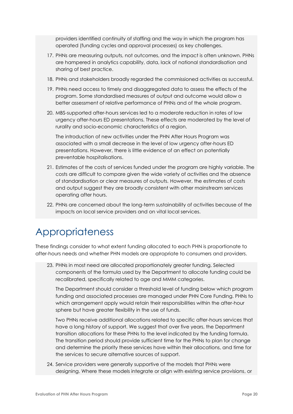providers identified continuity of staffing and the way in which the program has operated (funding cycles and approval processes) as key challenges.

- 17. PHNs are measuring outputs, not outcomes, and the impact is often unknown. PHNs are hampered in analytics capability, data, lack of national standardisation and sharing of best practice.
- 18. PHNs and stakeholders broadly regarded the commissioned activities as successful.
- 19. PHNs need access to timely and disaggregated data to assess the effects of the program. Some standardised measures of output and outcome would allow a better assessment of relative performance of PHNs and of the whole program.
- 20. MBS-supported after-hours services led to a moderate reduction in rates of low urgency after-hours ED presentations. These effects are moderated by the level of rurality and socio-economic characteristics of a region.

The introduction of new activities under the PHN After Hours Program was associated with a small decrease in the level of low urgency after-hours ED presentations. However, there is little evidence of an effect on potentially preventable hospitalisations.

- 21. Estimates of the costs of services funded under the program are highly variable. The costs are difficult to compare given the wide variety of activities and the absence of standardisation or clear measures of outputs. However, the estimates of costs and output suggest they are broadly consistent with other mainstream services operating after hours.
- 22. PHNs are concerned about the long-term sustainability of activities because of the impacts on local service providers and on vital local services.

### <span id="page-22-0"></span>Appropriateness

These findings consider to what extent funding allocated to each PHN is proportionate to after-hours needs and whether PHN models are appropriate to consumers and providers.

23. PHNs in most need are allocated proportionately greater funding. Selected components of the formula used by the Department to allocate funding could be recalibrated, specifically related to age and MMM categories.

The Department should consider a threshold level of funding below which program funding and associated processes are managed under PHN Core Funding. PHNs to which arrangement apply would retain their responsibilities within the after-hour sphere but have greater flexibility in the use of funds.

Two PHNs receive additional allocations related to specific after-hours services that have a long history of support. We suggest that over five years, the Department transition allocations for these PHNs to the level indicated by the funding formula. The transition period should provide sufficient time for the PHNs to plan for change and determine the priority these services have within their allocations, and time for the services to secure alternative sources of support.

24. Service providers were generally supportive of the models that PHNs were designing. Where these models integrate or align with existing service provisions, or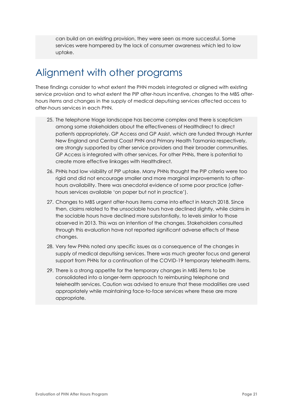can build on an existing provision, they were seen as more successful. Some services were hampered by the lack of consumer awareness which led to low uptake.

### <span id="page-23-0"></span>Alignment with other programs

These findings consider to what extent the PHN models integrated or aligned with existing service provision and to what extent the PIP after-hours incentive, changes to the MBS afterhours items and changes in the supply of medical deputising services affected access to after-hours services in each PHN.

- 25. The telephone triage landscape has become complex and there is scepticism among some stakeholders about the effectiveness of Healthdirect to direct patients appropriately. GP Access and GP Assist, which are funded through Hunter New England and Central Coast PHN and Primary Health Tasmania respectively, are strongly supported by other service providers and their broader communities. GP Access is integrated with other services. For other PHNs, there is potential to create more effective linkages with Healthdirect.
- 26. PHNs had low visibility of PIP uptake. Many PHNs thought the PIP criteria were too rigid and did not encourage smaller and more marginal improvements to afterhours availability. There was anecdotal evidence of some poor practice (afterhours services available 'on paper but not in practice').
- 27. Changes to MBS urgent after-hours items came into effect in March 2018. Since then, claims related to the unsociable hours have declined slightly, while claims in the sociable hours have declined more substantially, to levels similar to those observed in 2013. This was an intention of the changes. Stakeholders consulted through this evaluation have not reported significant adverse effects of these changes.
- 28. Very few PHNs noted any specific issues as a consequence of the changes in supply of medical deputising services. There was much greater focus and general support from PHNs for a continuation of the COVID-19 temporary telehealth items.
- 29. There is a strong appetite for the temporary changes in MBS items to be consolidated into a longer-term approach to reimbursing telephone and telehealth services. Caution was advised to ensure that these modalities are used appropriately while maintaining face-to-face services where these are more appropriate.